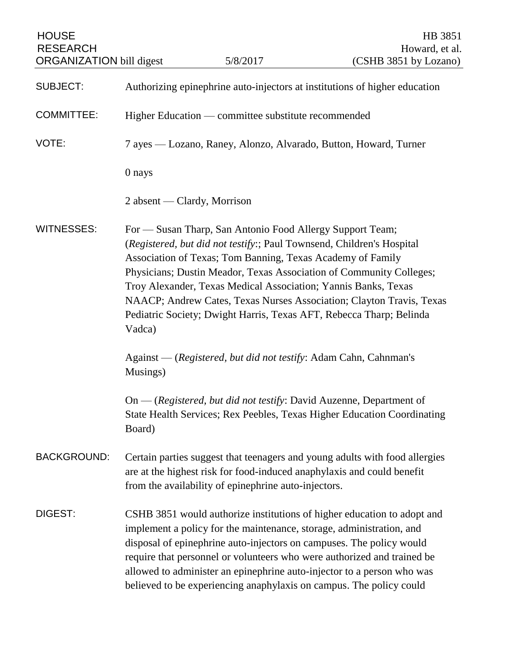| <b>HOUSE</b><br><b>RESEARCH</b><br><b>ORGANIZATION</b> bill digest |                                                                                                                                                                                                                                                                                                                                                                                                                                                                                                    | 5/8/2017                                                                                                                                                                                                            | HB 3851<br>Howard, et al.<br>(CSHB 3851 by Lozano)                                                                                                                                                                           |
|--------------------------------------------------------------------|----------------------------------------------------------------------------------------------------------------------------------------------------------------------------------------------------------------------------------------------------------------------------------------------------------------------------------------------------------------------------------------------------------------------------------------------------------------------------------------------------|---------------------------------------------------------------------------------------------------------------------------------------------------------------------------------------------------------------------|------------------------------------------------------------------------------------------------------------------------------------------------------------------------------------------------------------------------------|
| <b>SUBJECT:</b>                                                    |                                                                                                                                                                                                                                                                                                                                                                                                                                                                                                    |                                                                                                                                                                                                                     | Authorizing epinephrine auto-injectors at institutions of higher education                                                                                                                                                   |
| <b>COMMITTEE:</b>                                                  | Higher Education — committee substitute recommended                                                                                                                                                                                                                                                                                                                                                                                                                                                |                                                                                                                                                                                                                     |                                                                                                                                                                                                                              |
| VOTE:                                                              | 7 ayes — Lozano, Raney, Alonzo, Alvarado, Button, Howard, Turner                                                                                                                                                                                                                                                                                                                                                                                                                                   |                                                                                                                                                                                                                     |                                                                                                                                                                                                                              |
|                                                                    | 0 nays                                                                                                                                                                                                                                                                                                                                                                                                                                                                                             |                                                                                                                                                                                                                     |                                                                                                                                                                                                                              |
|                                                                    | 2 absent — Clardy, Morrison                                                                                                                                                                                                                                                                                                                                                                                                                                                                        |                                                                                                                                                                                                                     |                                                                                                                                                                                                                              |
| <b>WITNESSES:</b>                                                  | For — Susan Tharp, San Antonio Food Allergy Support Team;<br>(Registered, but did not testify:; Paul Townsend, Children's Hospital<br>Association of Texas; Tom Banning, Texas Academy of Family<br>Physicians; Dustin Meador, Texas Association of Community Colleges;<br>Troy Alexander, Texas Medical Association; Yannis Banks, Texas<br>NAACP; Andrew Cates, Texas Nurses Association; Clayton Travis, Texas<br>Pediatric Society; Dwight Harris, Texas AFT, Rebecca Tharp; Belinda<br>Vadca) |                                                                                                                                                                                                                     |                                                                                                                                                                                                                              |
|                                                                    | Musings)                                                                                                                                                                                                                                                                                                                                                                                                                                                                                           | Against — (Registered, but did not testify: Adam Cahn, Cahnman's                                                                                                                                                    |                                                                                                                                                                                                                              |
|                                                                    | Board)                                                                                                                                                                                                                                                                                                                                                                                                                                                                                             | On - (Registered, but did not testify: David Auzenne, Department of                                                                                                                                                 | State Health Services; Rex Peebles, Texas Higher Education Coordinating                                                                                                                                                      |
| <b>BACKGROUND:</b>                                                 |                                                                                                                                                                                                                                                                                                                                                                                                                                                                                                    | are at the highest risk for food-induced anaphylaxis and could benefit<br>from the availability of epinephrine auto-injectors.                                                                                      | Certain parties suggest that teenagers and young adults with food allergies                                                                                                                                                  |
| DIGEST:                                                            |                                                                                                                                                                                                                                                                                                                                                                                                                                                                                                    | implement a policy for the maintenance, storage, administration, and<br>disposal of epinephrine auto-injectors on campuses. The policy would<br>believed to be experiencing anaphylaxis on campus. The policy could | CSHB 3851 would authorize institutions of higher education to adopt and<br>require that personnel or volunteers who were authorized and trained be<br>allowed to administer an epinephrine auto-injector to a person who was |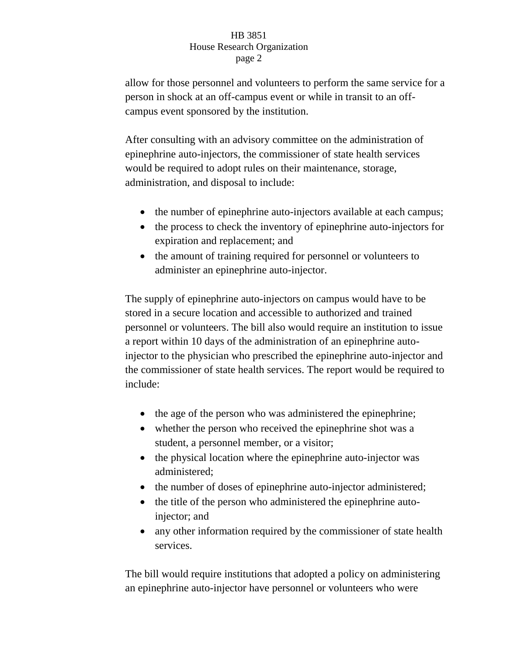## HB 3851 House Research Organization page 2

allow for those personnel and volunteers to perform the same service for a person in shock at an off-campus event or while in transit to an offcampus event sponsored by the institution.

After consulting with an advisory committee on the administration of epinephrine auto-injectors, the commissioner of state health services would be required to adopt rules on their maintenance, storage, administration, and disposal to include:

- the number of epinephrine auto-injectors available at each campus;
- the process to check the inventory of epinephrine auto-injectors for expiration and replacement; and
- the amount of training required for personnel or volunteers to administer an epinephrine auto-injector.

The supply of epinephrine auto-injectors on campus would have to be stored in a secure location and accessible to authorized and trained personnel or volunteers. The bill also would require an institution to issue a report within 10 days of the administration of an epinephrine autoinjector to the physician who prescribed the epinephrine auto-injector and the commissioner of state health services. The report would be required to include:

- the age of the person who was administered the epinephrine;
- whether the person who received the epinephrine shot was a student, a personnel member, or a visitor;
- the physical location where the epinephrine auto-injector was administered;
- the number of doses of epinephrine auto-injector administered;
- the title of the person who administered the epinephrine autoinjector; and
- any other information required by the commissioner of state health services.

The bill would require institutions that adopted a policy on administering an epinephrine auto-injector have personnel or volunteers who were